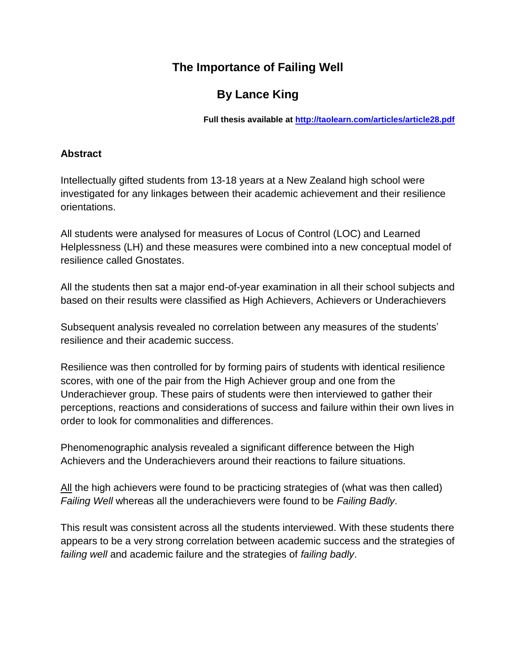# **The Importance of Failing Well**

# **By Lance King**

**Full thesis available at<http://taolearn.com/articles/article28.pdf>**

### **Abstract**

Intellectually gifted students from 13-18 years at a New Zealand high school were investigated for any linkages between their academic achievement and their resilience orientations.

All students were analysed for measures of Locus of Control (LOC) and Learned Helplessness (LH) and these measures were combined into a new conceptual model of resilience called Gnostates.

All the students then sat a major end-of-year examination in all their school subjects and based on their results were classified as High Achievers, Achievers or Underachievers

Subsequent analysis revealed no correlation between any measures of the students' resilience and their academic success.

Resilience was then controlled for by forming pairs of students with identical resilience scores, with one of the pair from the High Achiever group and one from the Underachiever group. These pairs of students were then interviewed to gather their perceptions, reactions and considerations of success and failure within their own lives in order to look for commonalities and differences.

Phenomenographic analysis revealed a significant difference between the High Achievers and the Underachievers around their reactions to failure situations.

All the high achievers were found to be practicing strategies of (what was then called) *Failing Well* whereas all the underachievers were found to be *Failing Badly*.

This result was consistent across all the students interviewed. With these students there appears to be a very strong correlation between academic success and the strategies of *failing well* and academic failure and the strategies of *failing badly*.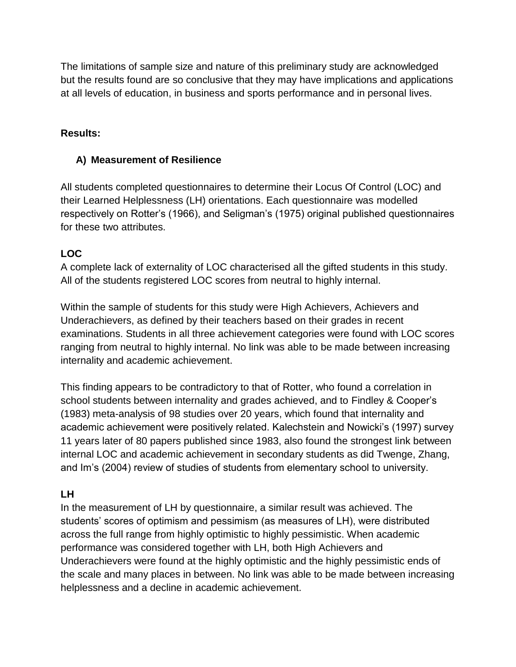The limitations of sample size and nature of this preliminary study are acknowledged but the results found are so conclusive that they may have implications and applications at all levels of education, in business and sports performance and in personal lives.

# **Results:**

## **A) Measurement of Resilience**

All students completed questionnaires to determine their Locus Of Control (LOC) and their Learned Helplessness (LH) orientations. Each questionnaire was modelled respectively on Rotter's (1966), and Seligman's (1975) original published questionnaires for these two attributes.

# **LOC**

A complete lack of externality of LOC characterised all the gifted students in this study. All of the students registered LOC scores from neutral to highly internal.

Within the sample of students for this study were High Achievers, Achievers and Underachievers, as defined by their teachers based on their grades in recent examinations. Students in all three achievement categories were found with LOC scores ranging from neutral to highly internal. No link was able to be made between increasing internality and academic achievement.

This finding appears to be contradictory to that of Rotter, who found a correlation in school students between internality and grades achieved, and to Findley & Cooper's (1983) meta-analysis of 98 studies over 20 years, which found that internality and academic achievement were positively related. Kalechstein and Nowicki's (1997) survey 11 years later of 80 papers published since 1983, also found the strongest link between internal LOC and academic achievement in secondary students as did Twenge, Zhang, and Im's (2004) review of studies of students from elementary school to university.

# **LH**

In the measurement of LH by questionnaire, a similar result was achieved. The students' scores of optimism and pessimism (as measures of LH), were distributed across the full range from highly optimistic to highly pessimistic. When academic performance was considered together with LH, both High Achievers and Underachievers were found at the highly optimistic and the highly pessimistic ends of the scale and many places in between. No link was able to be made between increasing helplessness and a decline in academic achievement.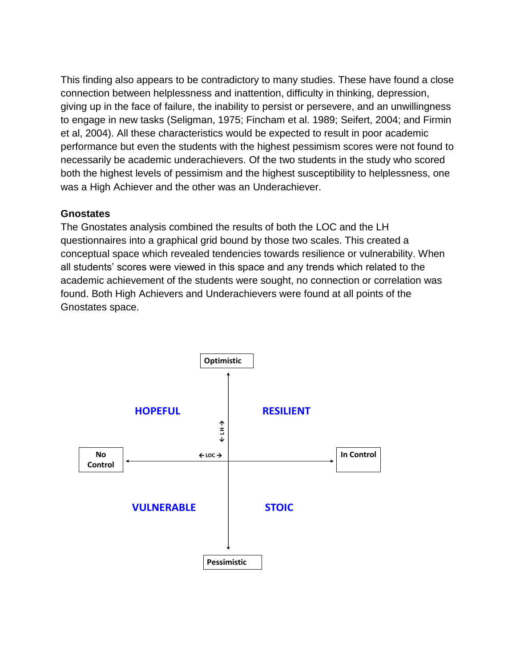This finding also appears to be contradictory to many studies. These have found a close connection between helplessness and inattention, difficulty in thinking, depression, giving up in the face of failure, the inability to persist or persevere, and an unwillingness to engage in new tasks (Seligman, 1975; Fincham et al. 1989; Seifert, 2004; and Firmin et al, 2004). All these characteristics would be expected to result in poor academic performance but even the students with the highest pessimism scores were not found to necessarily be academic underachievers. Of the two students in the study who scored both the highest levels of pessimism and the highest susceptibility to helplessness, one was a High Achiever and the other was an Underachiever.

### **Gnostates**

The Gnostates analysis combined the results of both the LOC and the LH questionnaires into a graphical grid bound by those two scales. This created a conceptual space which revealed tendencies towards resilience or vulnerability. When all students' scores were viewed in this space and any trends which related to the academic achievement of the students were sought, no connection or correlation was found. Both High Achievers and Underachievers were found at all points of the Gnostates space.

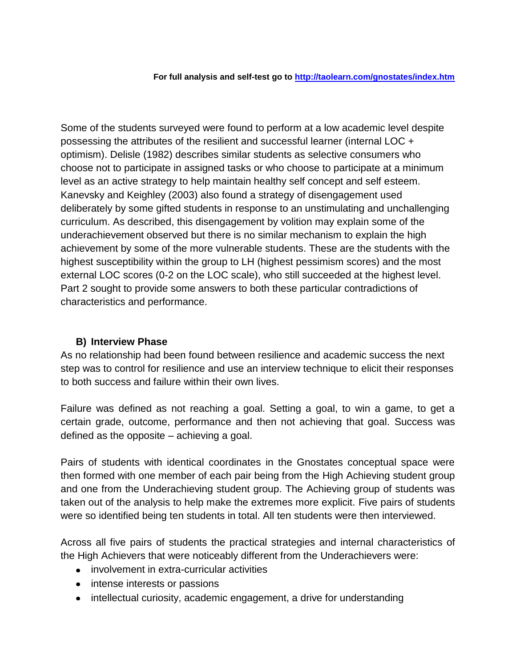**For full analysis and self-test go to<http://taolearn.com/gnostates/index.htm>**

Some of the students surveyed were found to perform at a low academic level despite possessing the attributes of the resilient and successful learner (internal LOC + optimism). Delisle (1982) describes similar students as selective consumers who choose not to participate in assigned tasks or who choose to participate at a minimum level as an active strategy to help maintain healthy self concept and self esteem. Kanevsky and Keighley (2003) also found a strategy of disengagement used deliberately by some gifted students in response to an unstimulating and unchallenging curriculum. As described, this disengagement by volition may explain some of the underachievement observed but there is no similar mechanism to explain the high achievement by some of the more vulnerable students. These are the students with the highest susceptibility within the group to LH (highest pessimism scores) and the most external LOC scores (0-2 on the LOC scale), who still succeeded at the highest level. Part 2 sought to provide some answers to both these particular contradictions of characteristics and performance.

### **B) Interview Phase**

As no relationship had been found between resilience and academic success the next step was to control for resilience and use an interview technique to elicit their responses to both success and failure within their own lives.

Failure was defined as not reaching a goal. Setting a goal, to win a game, to get a certain grade, outcome, performance and then not achieving that goal. Success was defined as the opposite – achieving a goal.

Pairs of students with identical coordinates in the Gnostates conceptual space were then formed with one member of each pair being from the High Achieving student group and one from the Underachieving student group. The Achieving group of students was taken out of the analysis to help make the extremes more explicit. Five pairs of students were so identified being ten students in total. All ten students were then interviewed.

Across all five pairs of students the practical strategies and internal characteristics of the High Achievers that were noticeably different from the Underachievers were:

- involvement in extra-curricular activities
- intense interests or passions
- intellectual curiosity, academic engagement, a drive for understanding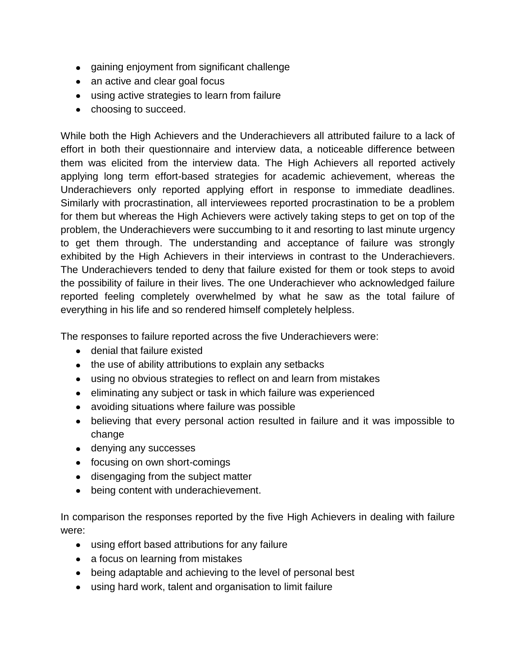- gaining enjoyment from significant challenge
- an active and clear goal focus
- using active strategies to learn from failure
- choosing to succeed.

While both the High Achievers and the Underachievers all attributed failure to a lack of effort in both their questionnaire and interview data, a noticeable difference between them was elicited from the interview data. The High Achievers all reported actively applying long term effort-based strategies for academic achievement, whereas the Underachievers only reported applying effort in response to immediate deadlines. Similarly with procrastination, all interviewees reported procrastination to be a problem for them but whereas the High Achievers were actively taking steps to get on top of the problem, the Underachievers were succumbing to it and resorting to last minute urgency to get them through. The understanding and acceptance of failure was strongly exhibited by the High Achievers in their interviews in contrast to the Underachievers. The Underachievers tended to deny that failure existed for them or took steps to avoid the possibility of failure in their lives. The one Underachiever who acknowledged failure reported feeling completely overwhelmed by what he saw as the total failure of everything in his life and so rendered himself completely helpless.

The responses to failure reported across the five Underachievers were:

- denial that failure existed
- the use of ability attributions to explain any setbacks
- using no obvious strategies to reflect on and learn from mistakes
- eliminating any subject or task in which failure was experienced
- avoiding situations where failure was possible
- believing that every personal action resulted in failure and it was impossible to change
- denying any successes
- focusing on own short-comings
- disengaging from the subject matter
- being content with underachievement.

In comparison the responses reported by the five High Achievers in dealing with failure were:

- using effort based attributions for any failure
- a focus on learning from mistakes
- being adaptable and achieving to the level of personal best
- using hard work, talent and organisation to limit failure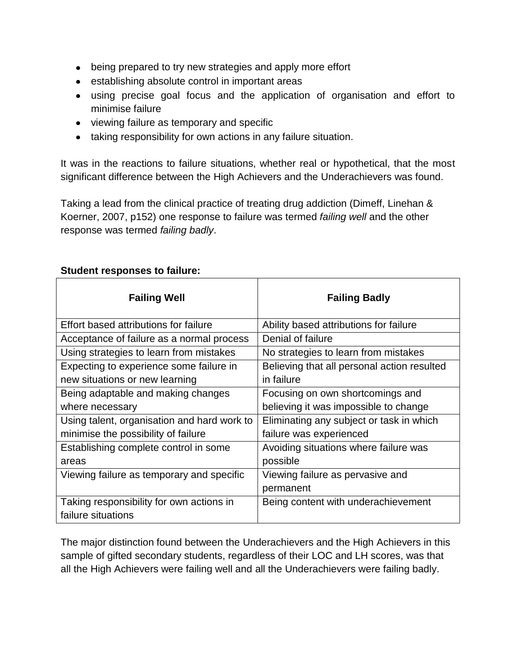- being prepared to try new strategies and apply more effort
- establishing absolute control in important areas
- using precise goal focus and the application of organisation and effort to minimise failure
- viewing failure as temporary and specific
- taking responsibility for own actions in any failure situation.

It was in the reactions to failure situations, whether real or hypothetical, that the most significant difference between the High Achievers and the Underachievers was found.

Taking a lead from the clinical practice of treating drug addiction (Dimeff, Linehan & Koerner, 2007, p152) one response to failure was termed *failing well* and the other response was termed *failing badly*.

| <b>Failing Well</b>                         | <b>Failing Badly</b>                        |
|---------------------------------------------|---------------------------------------------|
| Effort based attributions for failure       | Ability based attributions for failure      |
| Acceptance of failure as a normal process   | Denial of failure                           |
| Using strategies to learn from mistakes     | No strategies to learn from mistakes        |
| Expecting to experience some failure in     | Believing that all personal action resulted |
| new situations or new learning              | in failure                                  |
| Being adaptable and making changes          | Focusing on own shortcomings and            |
| where necessary                             | believing it was impossible to change       |
| Using talent, organisation and hard work to | Eliminating any subject or task in which    |
| minimise the possibility of failure         | failure was experienced                     |
| Establishing complete control in some       | Avoiding situations where failure was       |
| areas                                       | possible                                    |
| Viewing failure as temporary and specific   | Viewing failure as pervasive and            |
|                                             | permanent                                   |
| Taking responsibility for own actions in    | Being content with underachievement         |
| failure situations                          |                                             |

#### **Student responses to failure:**

The major distinction found between the Underachievers and the High Achievers in this sample of gifted secondary students, regardless of their LOC and LH scores, was that all the High Achievers were failing well and all the Underachievers were failing badly.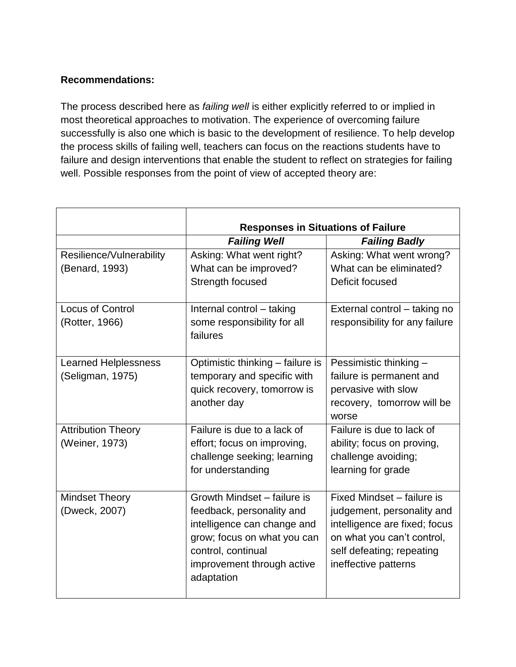# **Recommendations:**

The process described here as *failing well* is either explicitly referred to or implied in most theoretical approaches to motivation. The experience of overcoming failure successfully is also one which is basic to the development of resilience. To help develop the process skills of failing well, teachers can focus on the reactions students have to failure and design interventions that enable the student to reflect on strategies for failing well. Possible responses from the point of view of accepted theory are:

|                                                                                       | <b>Responses in Situations of Failure</b>                                                                                                                                                                                                                                                                                                                |                                                                                                                                                                                                                                                                                                                                                    |  |
|---------------------------------------------------------------------------------------|----------------------------------------------------------------------------------------------------------------------------------------------------------------------------------------------------------------------------------------------------------------------------------------------------------------------------------------------------------|----------------------------------------------------------------------------------------------------------------------------------------------------------------------------------------------------------------------------------------------------------------------------------------------------------------------------------------------------|--|
|                                                                                       | <b>Failing Well</b>                                                                                                                                                                                                                                                                                                                                      | <b>Failing Badly</b>                                                                                                                                                                                                                                                                                                                               |  |
| Resilience/Vulnerability                                                              | Asking: What went right?                                                                                                                                                                                                                                                                                                                                 | Asking: What went wrong?                                                                                                                                                                                                                                                                                                                           |  |
| (Benard, 1993)                                                                        | What can be improved?                                                                                                                                                                                                                                                                                                                                    | What can be eliminated?                                                                                                                                                                                                                                                                                                                            |  |
|                                                                                       | Strength focused                                                                                                                                                                                                                                                                                                                                         | Deficit focused                                                                                                                                                                                                                                                                                                                                    |  |
|                                                                                       |                                                                                                                                                                                                                                                                                                                                                          |                                                                                                                                                                                                                                                                                                                                                    |  |
| <b>Locus of Control</b>                                                               | Internal control - taking                                                                                                                                                                                                                                                                                                                                | External control - taking no                                                                                                                                                                                                                                                                                                                       |  |
| (Rotter, 1966)                                                                        | some responsibility for all                                                                                                                                                                                                                                                                                                                              | responsibility for any failure                                                                                                                                                                                                                                                                                                                     |  |
|                                                                                       | failures                                                                                                                                                                                                                                                                                                                                                 |                                                                                                                                                                                                                                                                                                                                                    |  |
|                                                                                       |                                                                                                                                                                                                                                                                                                                                                          |                                                                                                                                                                                                                                                                                                                                                    |  |
| <b>Learned Helplessness</b>                                                           | Optimistic thinking - failure is                                                                                                                                                                                                                                                                                                                         | Pessimistic thinking -                                                                                                                                                                                                                                                                                                                             |  |
| (Seligman, 1975)                                                                      | temporary and specific with                                                                                                                                                                                                                                                                                                                              | failure is permanent and                                                                                                                                                                                                                                                                                                                           |  |
|                                                                                       |                                                                                                                                                                                                                                                                                                                                                          |                                                                                                                                                                                                                                                                                                                                                    |  |
|                                                                                       |                                                                                                                                                                                                                                                                                                                                                          |                                                                                                                                                                                                                                                                                                                                                    |  |
|                                                                                       |                                                                                                                                                                                                                                                                                                                                                          |                                                                                                                                                                                                                                                                                                                                                    |  |
|                                                                                       |                                                                                                                                                                                                                                                                                                                                                          |                                                                                                                                                                                                                                                                                                                                                    |  |
|                                                                                       |                                                                                                                                                                                                                                                                                                                                                          |                                                                                                                                                                                                                                                                                                                                                    |  |
|                                                                                       |                                                                                                                                                                                                                                                                                                                                                          |                                                                                                                                                                                                                                                                                                                                                    |  |
|                                                                                       |                                                                                                                                                                                                                                                                                                                                                          |                                                                                                                                                                                                                                                                                                                                                    |  |
|                                                                                       |                                                                                                                                                                                                                                                                                                                                                          |                                                                                                                                                                                                                                                                                                                                                    |  |
|                                                                                       |                                                                                                                                                                                                                                                                                                                                                          |                                                                                                                                                                                                                                                                                                                                                    |  |
|                                                                                       |                                                                                                                                                                                                                                                                                                                                                          |                                                                                                                                                                                                                                                                                                                                                    |  |
|                                                                                       |                                                                                                                                                                                                                                                                                                                                                          |                                                                                                                                                                                                                                                                                                                                                    |  |
|                                                                                       |                                                                                                                                                                                                                                                                                                                                                          |                                                                                                                                                                                                                                                                                                                                                    |  |
|                                                                                       |                                                                                                                                                                                                                                                                                                                                                          |                                                                                                                                                                                                                                                                                                                                                    |  |
|                                                                                       |                                                                                                                                                                                                                                                                                                                                                          |                                                                                                                                                                                                                                                                                                                                                    |  |
|                                                                                       |                                                                                                                                                                                                                                                                                                                                                          |                                                                                                                                                                                                                                                                                                                                                    |  |
| <b>Attribution Theory</b><br>(Weiner, 1973)<br><b>Mindset Theory</b><br>(Dweck, 2007) | quick recovery, tomorrow is<br>another day<br>Failure is due to a lack of<br>effort; focus on improving,<br>challenge seeking; learning<br>for understanding<br>Growth Mindset - failure is<br>feedback, personality and<br>intelligence can change and<br>grow; focus on what you can<br>control, continual<br>improvement through active<br>adaptation | pervasive with slow<br>recovery, tomorrow will be<br>worse<br>Failure is due to lack of<br>ability; focus on proving,<br>challenge avoiding;<br>learning for grade<br>Fixed Mindset - failure is<br>judgement, personality and<br>intelligence are fixed; focus<br>on what you can't control,<br>self defeating; repeating<br>ineffective patterns |  |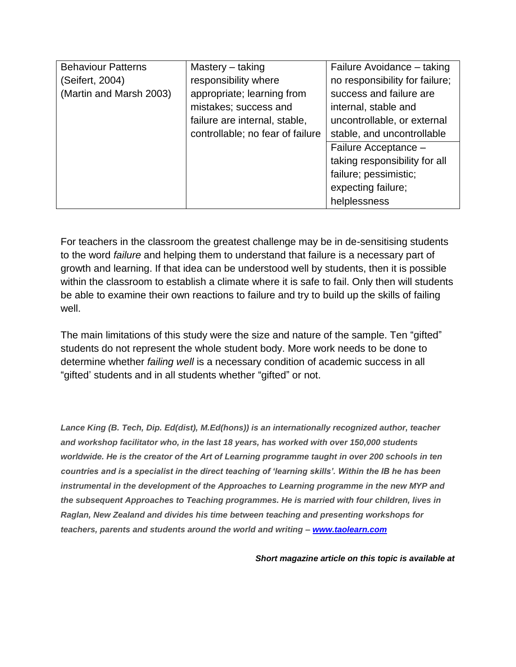| <b>Behaviour Patterns</b> | Mastery – taking                 | Failure Avoidance - taking     |
|---------------------------|----------------------------------|--------------------------------|
| (Seifert, 2004)           | responsibility where             | no responsibility for failure; |
| (Martin and Marsh 2003)   | appropriate; learning from       | success and failure are        |
|                           | mistakes; success and            | internal, stable and           |
|                           | failure are internal, stable,    | uncontrollable, or external    |
|                           | controllable; no fear of failure | stable, and uncontrollable     |
|                           |                                  | Failure Acceptance -           |
|                           |                                  | taking responsibility for all  |
|                           |                                  | failure; pessimistic;          |
|                           |                                  | expecting failure;             |
|                           |                                  | helplessness                   |

For teachers in the classroom the greatest challenge may be in de-sensitising students to the word *failure* and helping them to understand that failure is a necessary part of growth and learning. If that idea can be understood well by students, then it is possible within the classroom to establish a climate where it is safe to fail. Only then will students be able to examine their own reactions to failure and try to build up the skills of failing well.

The main limitations of this study were the size and nature of the sample. Ten "gifted" students do not represent the whole student body. More work needs to be done to determine whether *failing well* is a necessary condition of academic success in all "gifted' students and in all students whether "gifted" or not.

*Lance King (B. Tech, Dip. Ed(dist), M.Ed(hons)) is an internationally recognized author, teacher and workshop facilitator who, in the last 18 years, has worked with over 150,000 students worldwide. He is the creator of the Art of Learning programme taught in over 200 schools in ten countries and is a specialist in the direct teaching of 'learning skills'. Within the IB he has been instrumental in the development of the Approaches to Learning programme in the new MYP and the subsequent Approaches to Teaching programmes. He is married with four children, lives in Raglan, New Zealand and divides his time between teaching and presenting workshops for teachers, parents and students around the world and writing – [www.taolearn.com](http://www.taolearn.com/)*

*Short magazine article on this topic is available at*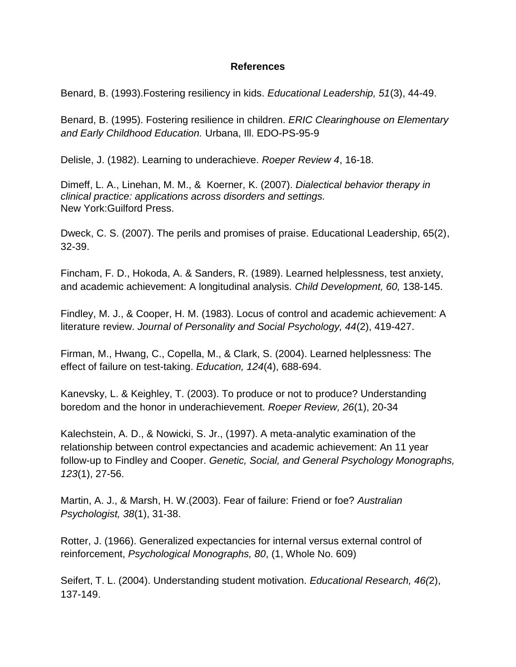### **References**

Benard, B. (1993).Fostering resiliency in kids. *Educational Leadership, 51*(3), 44-49.

Benard, B. (1995). Fostering resilience in children. *ERIC Clearinghouse on Elementary and Early Childhood Education.* Urbana, Ill. EDO-PS-95-9

Delisle, J. (1982). Learning to underachieve. *Roeper Review 4*, 16-18.

Dimeff, L. A., Linehan, M. M., & Koerner, K. (2007). *Dialectical behavior therapy in clinical practice: applications across disorders and settings.* New York:Guilford Press.

Dweck, C. S. (2007). The perils and promises of praise. Educational Leadership, 65(2), 32-39.

Fincham, F. D., Hokoda, A. & Sanders, R. (1989). Learned helplessness, test anxiety, and academic achievement: A longitudinal analysis. *Child Development, 60,* 138-145.

Findley, M. J., & Cooper, H. M. (1983). Locus of control and academic achievement: A literature review. *Journal of Personality and Social Psychology, 44*(2), 419-427.

Firman, M., Hwang, C., Copella, M., & Clark, S. (2004). Learned helplessness: The effect of failure on test-taking. *Education, 124*(4), 688-694.

Kanevsky, L. & Keighley, T. (2003). To produce or not to produce? Understanding boredom and the honor in underachievement. *Roeper Review, 26*(1), 20-34

Kalechstein, A. D., & Nowicki, S. Jr., (1997). A meta-analytic examination of the relationship between control expectancies and academic achievement: An 11 year follow-up to Findley and Cooper. *Genetic, Social, and General Psychology Monographs, 123*(1), 27-56.

Martin, A. J., & Marsh, H. W.(2003). Fear of failure: Friend or foe? *Australian Psychologist, 38*(1), 31-38.

Rotter, J. (1966). Generalized expectancies for internal versus external control of reinforcement, *Psychological Monographs, 80*, (1, Whole No. 609)

Seifert, T. L. (2004). Understanding student motivation. *Educational Research, 46(*2), 137-149.